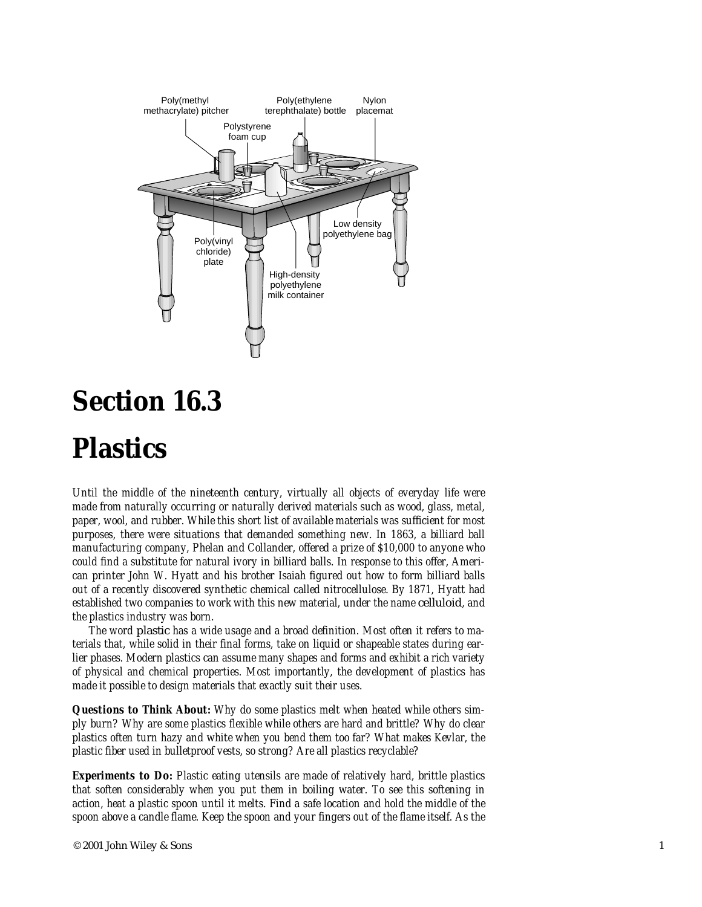

# **Section 16.3**

# **Plastics**

*Until the middle of the nineteenth century, virtually all objects of everyday life were made from naturally occurring or naturally derived materials such as wood, glass, metal, paper, wool, and rubber. While this short list of available materials was sufficient for most purposes, there were situations that demanded something new. In 1863, a billiard ball manufacturing company, Phelan and Collander, offered a prize of \$10,000 to anyone who could find a substitute for natural ivory in billiard balls. In response to this offer, American printer John W. Hyatt and his brother Isaiah figured out how to form billiard balls out of a recently discovered synthetic chemical called nitrocellulose. By 1871, Hyatt had established two companies to work with this new material, under the name* celluloid*, and the plastics industry was born.* 

*The word* plastic *has a wide usage and a broad definition. Most often it refers to materials that, while solid in their final forms, take on liquid or shapeable states during earlier phases. Modern plastics can assume many shapes and forms and exhibit a rich variety of physical and chemical properties. Most importantly, the development of plastics has made it possible to design materials that exactly suit their uses.* 

*Questions to Think About: Why do some plastics melt when heated while others simply burn? Why are some plastics flexible while others are hard and brittle? Why do clear plastics often turn hazy and white when you bend them too far? What makes Kevlar, the plastic fiber used in bulletproof vests, so strong? Are all plastics recyclable?* 

*Experiments to Do: Plastic eating utensils are made of relatively hard, brittle plastics*  that soften considerably when you put them in boiling water. To see this softening in *action, heat a plastic spoon until it melts. Find a safe location and hold the middle of the spoon above a candle flame. Keep the spoon and your fingers out of the flame itself. As the*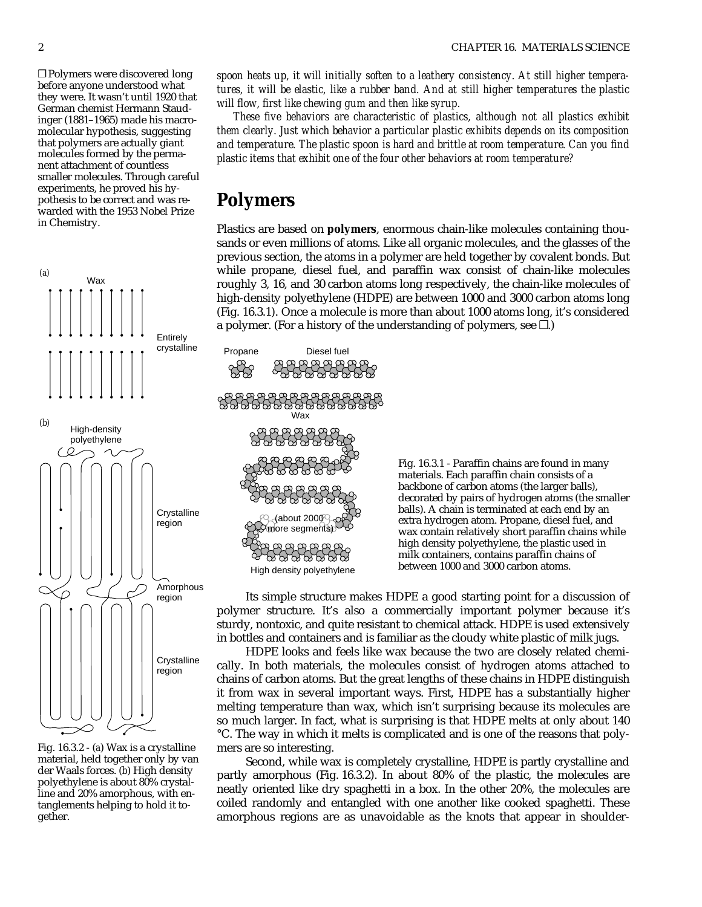❐ Polymers were discovered long before anyone understood what they were. It wasn't until 1920 that German chemist Hermann Staudinger (1881–1965) made his macromolecular hypothesis, suggesting that polymers are actually giant molecules formed by the permanent attachment of countless smaller molecules. Through careful experiments, he proved his hypothesis to be correct and was rewarded with the 1953 Nobel Prize in Chemistry.



Fig. 16.3.2 - (*a*) Wax is a crystalline material, held together only by van der Waals forces. (*b*) High density polyethylene is about 80% crystalline and 20% amorphous, with entanglements helping to hold it together.

*spoon heats up, it will initially soften to a leathery consistency. At still higher temperatures, it will be elastic, like a rubber band. And at still higher temperatures the plastic will flow, first like chewing gum and then like syrup.* 

*These five behaviors are characteristic of plastics, although not all plastics exhibit them clearly. Just which behavior a particular plastic exhibits depends on its composition and temperature. The plastic spoon is hard and brittle at room temperature. Can you find plastic items that exhibit one of the four other behaviors at room temperature?* 

## **Polymers**

Plastics are based on **polymers**, enormous chain-like molecules containing thousands or even millions of atoms. Like all organic molecules, and the glasses of the previous section, the atoms in a polymer are held together by covalent bonds. But while propane, diesel fuel, and paraffin wax consist of chain-like molecules roughly 3, 16, and 30 carbon atoms long respectively, the chain-like molecules of high-density polyethylene (HDPE) are between 1000 and 3000 carbon atoms long (Fig. 16.3.1). Once a molecule is more than about 1000 atoms long, it's considered a polymer. (For a history of the understanding of polymers, see  $\Box$ .)



Fig. 16.3.1 - Paraffin chains are found in many materials. Each paraffin chain consists of a backbone of carbon atoms (the larger balls), decorated by pairs of hydrogen atoms (the smaller balls). A chain is terminated at each end by an extra hydrogen atom. Propane, diesel fuel, and wax contain relatively short paraffin chains while high density polyethylene, the plastic used in milk containers, contains paraffin chains of between 1000 and 3000 carbon atoms.

Its simple structure makes HDPE a good starting point for a discussion of polymer structure. It's also a commercially important polymer because it's sturdy, nontoxic, and quite resistant to chemical attack. HDPE is used extensively in bottles and containers and is familiar as the cloudy white plastic of milk jugs.

HDPE looks and feels like wax because the two are closely related chemically. In both materials, the molecules consist of hydrogen atoms attached to chains of carbon atoms. But the great lengths of these chains in HDPE distinguish it from wax in several important ways. First, HDPE has a substantially higher melting temperature than wax, which isn't surprising because its molecules are so much larger. In fact, what *is* surprising is that HDPE melts at only about 140 °C. The way in which it melts is complicated and is one of the reasons that polymers are so interesting.

Second, while wax is completely crystalline, HDPE is partly crystalline and partly amorphous (Fig. 16.3.2). In about 80% of the plastic, the molecules are neatly oriented like dry spaghetti in a box. In the other 20%, the molecules are coiled randomly and entangled with one another like cooked spaghetti. These amorphous regions are as unavoidable as the knots that appear in shoulder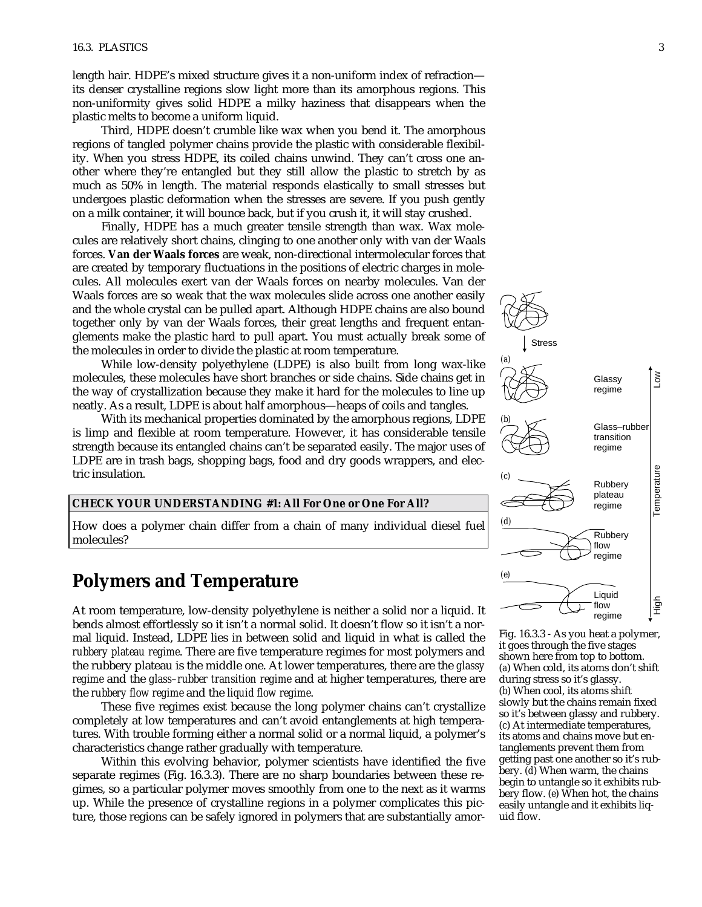length hair. HDPE's mixed structure gives it a non-uniform index of refraction its denser crystalline regions slow light more than its amorphous regions. This non-uniformity gives solid HDPE a milky haziness that disappears when the plastic melts to become a uniform liquid.

Third, HDPE doesn't crumble like wax when you bend it. The amorphous regions of tangled polymer chains provide the plastic with considerable flexibility. When you stress HDPE, its coiled chains unwind. They can't cross one another where they're entangled but they still allow the plastic to stretch by as much as 50% in length. The material responds elastically to small stresses but undergoes plastic deformation when the stresses are severe. If you push gently on a milk container, it will bounce back, but if you crush it, it will stay crushed.

Finally, HDPE has a much greater tensile strength than wax. Wax molecules are relatively short chains, clinging to one another only with van der Waals forces. **Van der Waals forces** are weak, non-directional intermolecular forces that are created by temporary fluctuations in the positions of electric charges in molecules. All molecules exert van der Waals forces on nearby molecules. Van der Waals forces are so weak that the wax molecules slide across one another easily and the whole crystal can be pulled apart. Although HDPE chains are also bound together only by van der Waals forces, their great lengths and frequent entanglements make the plastic hard to pull apart. You must actually break some of the molecules in order to divide the plastic at room temperature.

While low-density polyethylene (LDPE) is also built from long wax-like molecules, these molecules have short branches or side chains. Side chains get in the way of crystallization because they make it hard for the molecules to line up neatly. As a result, LDPE is about half amorphous—heaps of coils and tangles.

With its mechanical properties dominated by the amorphous regions, LDPE is limp and flexible at room temperature. However, it has considerable tensile strength because its entangled chains can't be separated easily. The major uses of LDPE are in trash bags, shopping bags, food and dry goods wrappers, and electric insulation.

#### **CHECK YOUR UNDERSTANDING #1: All For One or One For All?**

How does a polymer chain differ from a chain of many individual diesel fuel molecules?

## **Polymers and Temperature**

At room temperature, low-density polyethylene is neither a solid nor a liquid. It bends almost effortlessly so it isn't a normal solid. It doesn't flow so it isn't a normal liquid. Instead, LDPE lies in between solid and liquid in what is called the *rubbery plateau regime*. There are five temperature regimes for most polymers and the rubbery plateau is the middle one. At lower temperatures, there are the *glassy regime* and the *glass–rubber transition regime* and at higher temperatures, there are the *rubbery flow regime* and the *liquid flow regime*.

These five regimes exist because the long polymer chains can't crystallize completely at low temperatures and can't avoid entanglements at high temperatures. With trouble forming either a normal solid or a normal liquid, a polymer's characteristics change rather gradually with temperature.

Within this evolving behavior, polymer scientists have identified the five separate regimes (Fig. 16.3.3). There are no sharp boundaries between these regimes, so a particular polymer moves smoothly from one to the next as it warms up. While the presence of crystalline regions in a polymer complicates this picture, those regions can be safely ignored in polymers that are substantially amor-



Fig. 16.3.3 - As you heat a polymer, it goes through the five stages shown here from top to bottom. (*a*) When cold, its atoms don't shift during stress so it's glassy. (*b*) When cool, its atoms shift slowly but the chains remain fixed so it's between glassy and rubbery. (*c*) At intermediate temperatures, its atoms and chains move but entanglements prevent them from getting past one another so it's rubbery. (*d*) When warm, the chains begin to untangle so it exhibits rubbery flow. (*e*) When hot, the chains easily untangle and it exhibits liquid flow.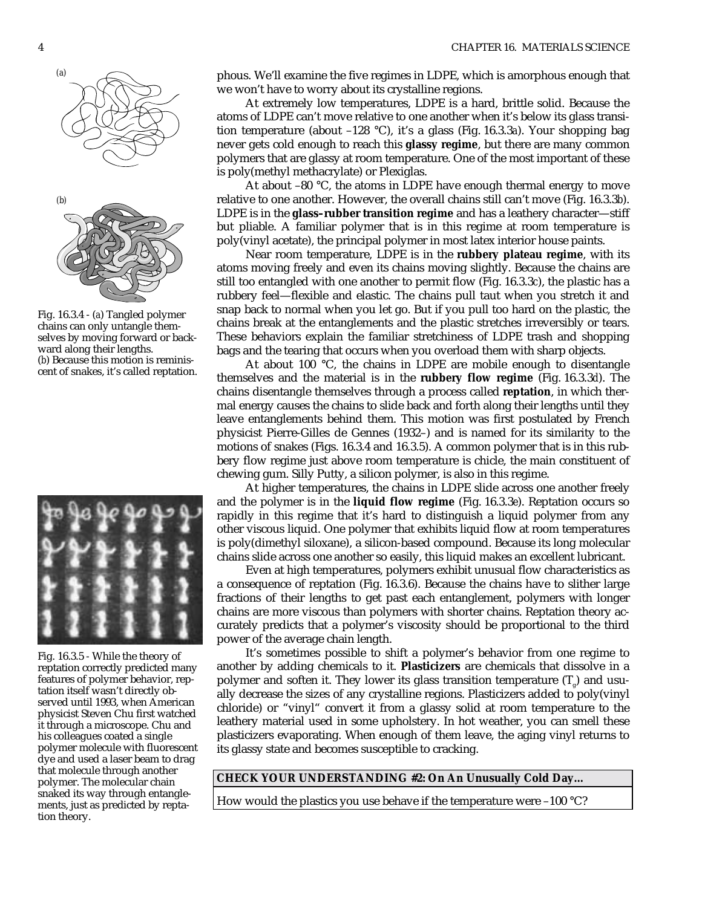



Fig. 16.3.4 - (*a*) Tangled polymer chains can only untangle themselves by moving forward or backward along their lengths. (*b*) Because this motion is reminiscent of snakes, it's called reptation.



Fig. 16.3.5 - While the theory of reptation correctly predicted many features of polymer behavior, reptation itself wasn't directly observed until 1993, when American physicist Steven Chu first watched it through a microscope. Chu and his colleagues coated a single polymer molecule with fluorescent dye and used a laser beam to drag that molecule through another polymer. The molecular chain snaked its way through entanglements, just as predicted by reptation theory.

phous. We'll examine the five regimes in LDPE, which is amorphous enough that we won't have to worry about its crystalline regions.

At extremely low temperatures, LDPE is a hard, brittle solid. Because the atoms of LDPE can't move relative to one another when it's below its glass transition temperature (about –128 °C), it's a glass (Fig. 16.3.3*a*). Your shopping bag never gets cold enough to reach this **glassy regime**, but there are many common polymers that are glassy at room temperature. One of the most important of these is poly(methyl methacrylate) or Plexiglas.

At about –80 °C, the atoms in LDPE have enough thermal energy to move relative to one another. However, the overall chains still can't move (Fig. 16.3.3*b*). LDPE is in the **glass–rubber transition regime** and has a leathery character—stiff but pliable. A familiar polymer that is in this regime at room temperature is poly(vinyl acetate), the principal polymer in most latex interior house paints.

Near room temperature, LDPE is in the **rubbery plateau regime**, with its atoms moving freely and even its chains moving slightly. Because the chains are still too entangled with one another to permit flow (Fig. 16.3.3*c*), the plastic has a rubbery feel—flexible and elastic. The chains pull taut when you stretch it and snap back to normal when you let go. But if you pull too hard on the plastic, the chains break at the entanglements and the plastic stretches irreversibly or tears. These behaviors explain the familiar stretchiness of LDPE trash and shopping bags and the tearing that occurs when you overload them with sharp objects.

At about 100 °C, the chains in LDPE are mobile enough to disentangle themselves and the material is in the **rubbery flow regime** (Fig. 16.3.3*d*). The chains disentangle themselves through a process called **reptation**, in which thermal energy causes the chains to slide back and forth along their lengths until they leave entanglements behind them. This motion was first postulated by French physicist Pierre-Gilles de Gennes (1932–) and is named for its similarity to the motions of snakes (Figs. 16.3.4 and 16.3.5). A common polymer that is in this rubbery flow regime just above room temperature is chicle, the main constituent of chewing gum. Silly Putty, a silicon polymer, is also in this regime.

At higher temperatures, the chains in LDPE slide across one another freely and the polymer is in the **liquid flow regime** (Fig. 16.3.3*e*). Reptation occurs so rapidly in this regime that it's hard to distinguish a liquid polymer from any other viscous liquid. One polymer that exhibits liquid flow at room temperatures is poly(dimethyl siloxane), a silicon-based compound. Because its long molecular chains slide across one another so easily, this liquid makes an excellent lubricant.

Even at high temperatures, polymers exhibit unusual flow characteristics as a consequence of reptation (Fig. 16.3.6). Because the chains have to slither large fractions of their lengths to get past each entanglement, polymers with longer chains are more viscous than polymers with shorter chains. Reptation theory accurately predicts that a polymer's viscosity should be proportional to the third power of the average chain length.

It's sometimes possible to shift a polymer's behavior from one regime to another by adding chemicals to it. **Plasticizers** are chemicals that dissolve in a polymer and soften it. They lower its glass transition temperature  $(T<sub>e</sub>)$  and usually decrease the sizes of any crystalline regions. Plasticizers added to poly(vinyl chloride) or "vinyl" convert it from a glassy solid at room temperature to the leathery material used in some upholstery. In hot weather, you can smell these plasticizers evaporating. When enough of them leave, the aging vinyl returns to its glassy state and becomes susceptible to cracking.

### **CHECK YOUR UNDERSTANDING #2: On An Unusually Cold Day…**

How would the plastics you use behave if the temperature were  $-100\degree$ C?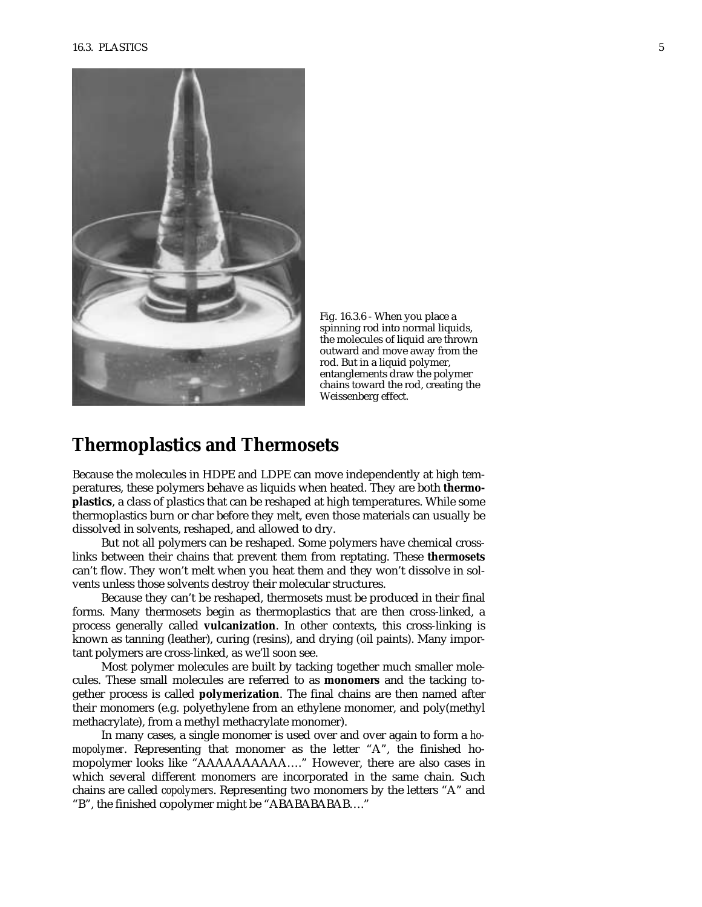

Fig. 16.3.6 - When you place a spinning rod into normal liquids, the molecules of liquid are thrown outward and move away from the rod. But in a liquid polymer, entanglements draw the polymer chains toward the rod, creating the Weissenberg effect.

## **Thermoplastics and Thermosets**

Because the molecules in HDPE and LDPE can move independently at high temperatures, these polymers behave as liquids when heated. They are both **thermoplastics**, a class of plastics that can be reshaped at high temperatures. While some thermoplastics burn or char before they melt, even those materials can usually be dissolved in solvents, reshaped, and allowed to dry.

But not all polymers can be reshaped. Some polymers have chemical crosslinks between their chains that prevent them from reptating. These **thermosets** can't flow. They won't melt when you heat them and they won't dissolve in solvents unless those solvents destroy their molecular structures.

Because they can't be reshaped, thermosets must be produced in their final forms. Many thermosets begin as thermoplastics that are then cross-linked, a process generally called **vulcanization**. In other contexts, this cross-linking is known as tanning (leather), curing (resins), and drying (oil paints). Many important polymers are cross-linked, as we'll soon see.

Most polymer molecules are built by tacking together much smaller molecules. These small molecules are referred to as **monomers** and the tacking together process is called **polymerization**. The final chains are then named after their monomers (e.g. polyethylene from an ethylene monomer, and poly(methyl methacrylate), from a methyl methacrylate monomer).

In many cases, a single monomer is used over and over again to form a *homopolymer*. Representing that monomer as the letter "A", the finished homopolymer looks like "AAAAAAAAAA…." However, there are also cases in which several different monomers are incorporated in the same chain. Such chains are called *copolymers*. Representing two monomers by the letters "A" and "B", the finished copolymer might be "ABABABABAB…."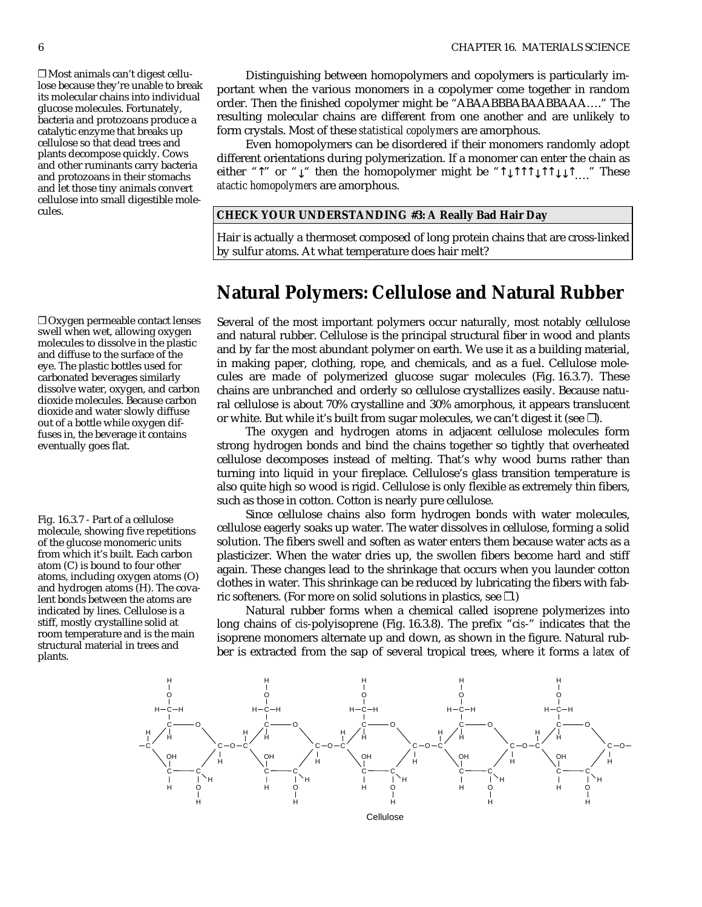❐ Most animals can't digest cellulose because they're unable to break its molecular chains into individual glucose molecules. Fortunately, bacteria and protozoans produce a catalytic enzyme that breaks up cellulose so that dead trees and plants decompose quickly. Cows and other ruminants carry bacteria and protozoans in their stomachs and let those tiny animals convert cellulose into small digestible molecules.

❐ Oxygen permeable contact lenses swell when wet, allowing oxygen molecules to dissolve in the plastic and diffuse to the surface of the eye. The plastic bottles used for carbonated beverages similarly dissolve water, oxygen, and carbon dioxide molecules. Because carbon dioxide and water slowly diffuse out of a bottle while oxygen diffuses in, the beverage it contains eventually goes flat.

Fig. 16.3.7 - Part of a cellulose molecule, showing five repetitions of the glucose monomeric units from which it's built. Each carbon atom (C) is bound to four other atoms, including oxygen atoms (O) and hydrogen atoms (H). The covalent bonds between the atoms are indicated by lines. Cellulose is a stiff, mostly crystalline solid at room temperature and is the main structural material in trees and plants.

Distinguishing between homopolymers and copolymers is particularly important when the various monomers in a copolymer come together in random order. Then the finished copolymer might be "ABAABBBABAABBAAA...." The resulting molecular chains are different from one another and are unlikely to form crystals. Most of these *statistical copolymers* are amorphous.

Even homopolymers can be disordered if their monomers randomly adopt different orientations during polymerization. If a monomer can enter the chain as either "↑" or "↓" then the homopolymer might be "↑↓↑↑↑↓↑↑↓↓↑<sub>……</sub>" These *atactic homopolymers* are amorphous.

#### **CHECK YOUR UNDERSTANDING #3: A Really Bad Hair Day**

Hair is actually a thermoset composed of long protein chains that are cross-linked by sulfur atoms. At what temperature does hair melt?

### **Natural Polymers: Cellulose and Natural Rubber**

Several of the most important polymers occur naturally, most notably cellulose and natural rubber. Cellulose is the principal structural fiber in wood and plants and by far the most abundant polymer on earth. We use it as a building material, in making paper, clothing, rope, and chemicals, and as a fuel. Cellulose molecules are made of polymerized glucose sugar molecules (Fig. 16.3.7). These chains are unbranched and orderly so cellulose crystallizes easily. Because natural cellulose is about 70% crystalline and 30% amorphous, it appears translucent or white. But while it's built from sugar molecules, we can't digest it (see  $\Box$ ).

The oxygen and hydrogen atoms in adjacent cellulose molecules form strong hydrogen bonds and bind the chains together so tightly that overheated cellulose decomposes instead of melting. That's why wood burns rather than turning into liquid in your fireplace. Cellulose's glass transition temperature is also quite high so wood is rigid. Cellulose is only flexible as extremely thin fibers, such as those in cotton. Cotton is nearly pure cellulose.

Since cellulose chains also form hydrogen bonds with water molecules, cellulose eagerly soaks up water. The water dissolves in cellulose, forming a solid solution. The fibers swell and soften as water enters them because water acts as a plasticizer. When the water dries up, the swollen fibers become hard and stiff again. These changes lead to the shrinkage that occurs when you launder cotton clothes in water. This shrinkage can be reduced by lubricating the fibers with fabric softeners. (For more on solid solutions in plastics, see  $\Box$ .)

Natural rubber forms when a chemical called isoprene polymerizes into long chains of *cis*-polyisoprene (Fig. 16.3.8). The prefix "c*is*-" indicates that the isoprene monomers alternate up and down, as shown in the figure. Natural rubber is extracted from the sap of several tropical trees, where it forms a *latex* of

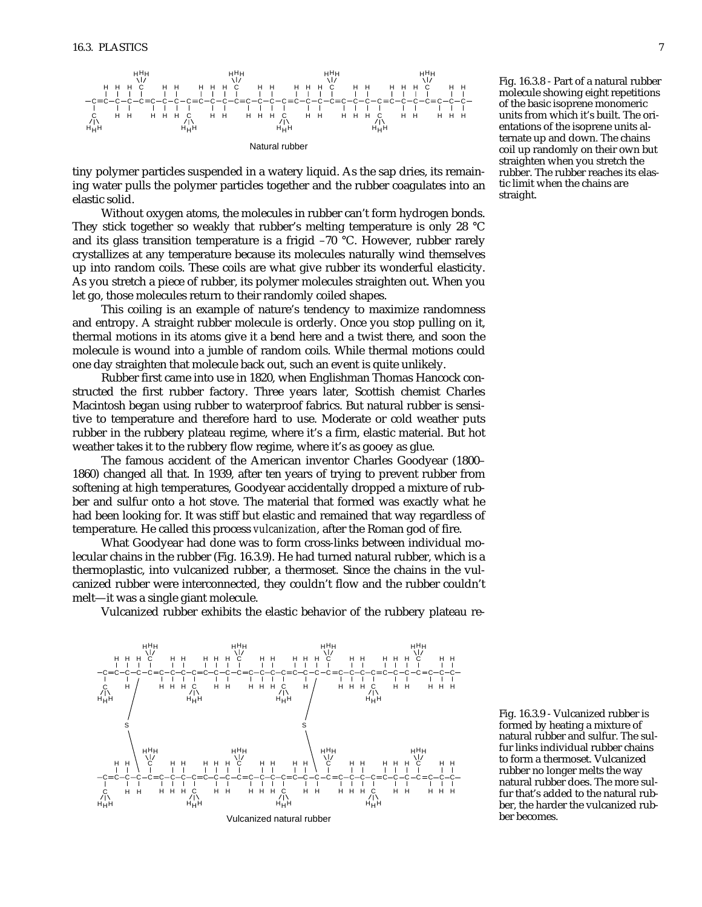

tiny polymer particles suspended in a watery liquid. As the sap dries, its remaining water pulls the polymer particles together and the rubber coagulates into an elastic solid.

Without oxygen atoms, the molecules in rubber can't form hydrogen bonds. They stick together so weakly that rubber's melting temperature is only 28 °C and its glass transition temperature is a frigid –70 °C. However, rubber rarely crystallizes at any temperature because its molecules naturally wind themselves up into random coils. These coils are what give rubber its wonderful elasticity. As you stretch a piece of rubber, its polymer molecules straighten out. When you let go, those molecules return to their randomly coiled shapes.

This coiling is an example of nature's tendency to maximize randomness and entropy. A straight rubber molecule is orderly. Once you stop pulling on it, thermal motions in its atoms give it a bend here and a twist there, and soon the molecule is wound into a jumble of random coils. While thermal motions could one day straighten that molecule back out, such an event is quite unlikely.

Rubber first came into use in 1820, when Englishman Thomas Hancock constructed the first rubber factory. Three years later, Scottish chemist Charles Macintosh began using rubber to waterproof fabrics. But natural rubber is sensitive to temperature and therefore hard to use. Moderate or cold weather puts rubber in the rubbery plateau regime, where it's a firm, elastic material. But hot weather takes it to the rubbery flow regime, where it's as gooey as glue.

The famous accident of the American inventor Charles Goodyear (1800– 1860) changed all that. In 1939, after ten years of trying to prevent rubber from softening at high temperatures, Goodyear accidentally dropped a mixture of rubber and sulfur onto a hot stove. The material that formed was exactly what he had been looking for. It was stiff but elastic and remained that way regardless of temperature. He called this process *vulcanization*, after the Roman god of fire.

What Goodyear had done was to form cross-links between individual molecular chains in the rubber (Fig. 16.3.9). He had turned natural rubber, which is a thermoplastic, into vulcanized rubber, a thermoset. Since the chains in the vulcanized rubber were interconnected, they couldn't flow and the rubber couldn't melt—it was a single giant molecule.

Vulcanized rubber exhibits the elastic behavior of the rubbery plateau re-



Fig. 16.3.8 - Part of a natural rubber molecule showing eight repetitions of the basic isoprene monomeric units from which it's built. The orientations of the isoprene units alternate up and down. The chains coil up randomly on their own but straighten when you stretch the rubber. The rubber reaches its elastic limit when the chains are straight.

Fig. 16.3.9 - Vulcanized rubber is formed by heating a mixture of natural rubber and sulfur. The sulfur links individual rubber chains to form a thermoset. Vulcanized rubber no longer melts the way natural rubber does. The more sulfur that's added to the natural rubber, the harder the vulcanized rubber becomes.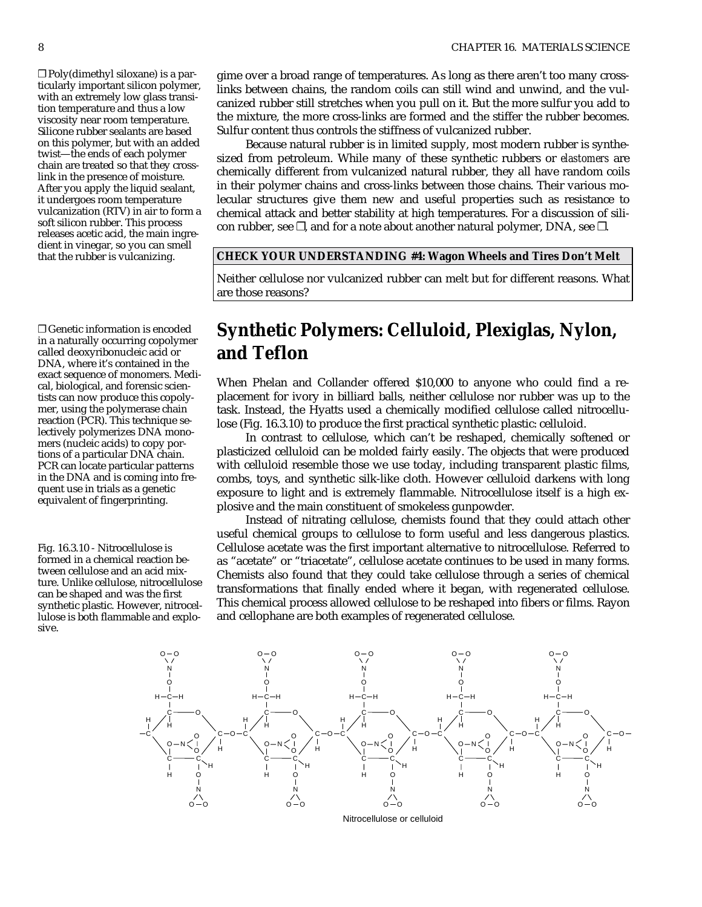❐ Poly(dimethyl siloxane) is a particularly important silicon polymer, with an extremely low glass transition temperature and thus a low viscosity near room temperature. Silicone rubber sealants are based on this polymer, but with an added twist—the ends of each polymer chain are treated so that they crosslink in the presence of moisture. After you apply the liquid sealant, it undergoes room temperature vulcanization (RTV) in air to form a soft silicon rubber. This process releases acetic acid, the main ingredient in vinegar, so you can smell that the rubber is vulcanizing.

❐ Genetic information is encoded in a naturally occurring copolymer called deoxyribonucleic acid or DNA, where it's contained in the exact sequence of monomers. Medical, biological, and forensic scientists can now produce this copolymer, using the polymerase chain reaction (PCR). This technique selectively polymerizes DNA monomers (nucleic acids) to copy portions of a particular DNA chain. PCR can locate particular patterns in the DNA and is coming into frequent use in trials as a genetic equivalent of fingerprinting.

Fig. 16.3.10 - Nitrocellulose is formed in a chemical reaction between cellulose and an acid mixture. Unlike cellulose, nitrocellulose can be shaped and was the first synthetic plastic. However, nitrocellulose is both flammable and explosive.

gime over a broad range of temperatures. As long as there aren't too many crosslinks between chains, the random coils can still wind and unwind, and the vulcanized rubber still stretches when you pull on it. But the more sulfur you add to the mixture, the more cross-links are formed and the stiffer the rubber becomes. Sulfur content thus controls the stiffness of vulcanized rubber.

Because natural rubber is in limited supply, most modern rubber is synthesized from petroleum. While many of these synthetic rubbers or *elastomers* are chemically different from vulcanized natural rubber, they all have random coils in their polymer chains and cross-links between those chains. Their various molecular structures give them new and useful properties such as resistance to chemical attack and better stability at high temperatures. For a discussion of silicon rubber, see ❐, and for a note about another natural polymer, DNA, see ❐.

#### **CHECK YOUR UNDERSTANDING #4: Wagon Wheels and Tires Don't Melt**

Neither cellulose nor vulcanized rubber can melt but for different reasons. What are those reasons?

## **Synthetic Polymers: Celluloid, Plexiglas, Nylon, and Teflon**

When Phelan and Collander offered \$10,000 to anyone who could find a replacement for ivory in billiard balls, neither cellulose nor rubber was up to the task. Instead, the Hyatts used a chemically modified cellulose called nitrocellulose (Fig. 16.3.10) to produce the first practical synthetic plastic: celluloid.

In contrast to cellulose, which can't be reshaped, chemically softened or plasticized celluloid can be molded fairly easily. The objects that were produced with celluloid resemble those we use today, including transparent plastic films, combs, toys, and synthetic silk-like cloth. However celluloid darkens with long exposure to light and is extremely flammable. Nitrocellulose itself is a high explosive and the main constituent of smokeless gunpowder.

Instead of nitrating cellulose, chemists found that they could attach other useful chemical groups to cellulose to form useful and less dangerous plastics. Cellulose acetate was the first important alternative to nitrocellulose. Referred to as "acetate" or "triacetate", cellulose acetate continues to be used in many forms. Chemists also found that they could take cellulose through a series of chemical transformations that finally ended where it began, with regenerated cellulose. This chemical process allowed cellulose to be reshaped into fibers or films. Rayon and cellophane are both examples of regenerated cellulose.



Nitrocellulose or celluloid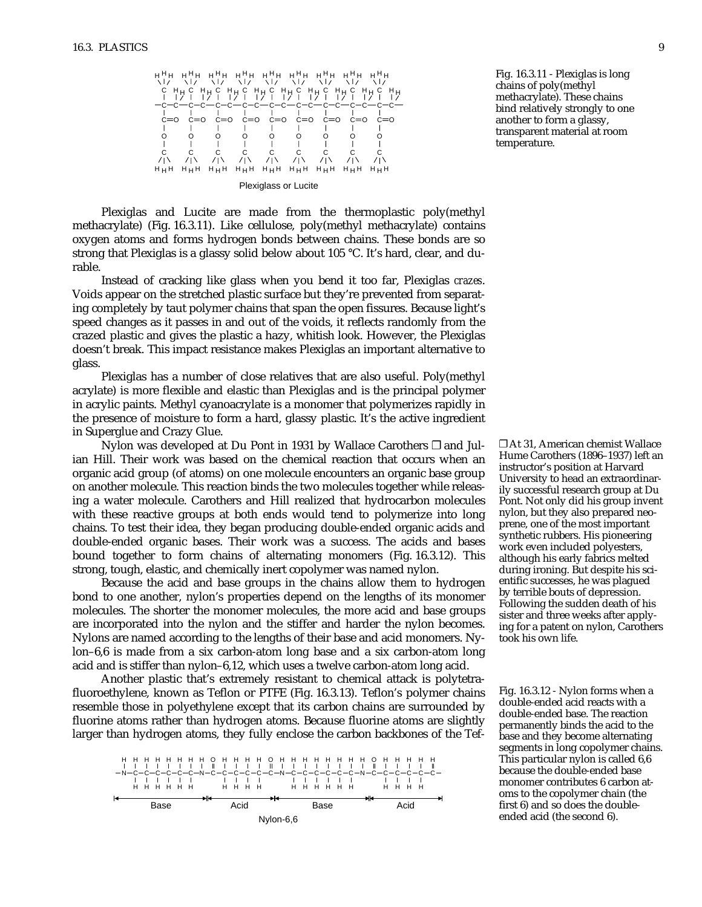

bind relatively strongly to one another to form a glassy, transparent material at room temperature.

Fig. 16.3.11 - Plexiglas is long chains of poly(methyl methacrylate). These chains

Plexiglas and Lucite are made from the thermoplastic poly(methyl methacrylate) (Fig. 16.3.11). Like cellulose, poly(methyl methacrylate) contains oxygen atoms and forms hydrogen bonds between chains. These bonds are so strong that Plexiglas is a glassy solid below about 105 °C. It's hard, clear, and durable.

Instead of cracking like glass when you bend it too far, Plexiglas *crazes*. Voids appear on the stretched plastic surface but they're prevented from separating completely by taut polymer chains that span the open fissures. Because light's speed changes as it passes in and out of the voids, it reflects randomly from the crazed plastic and gives the plastic a hazy, whitish look. However, the Plexiglas doesn't break. This impact resistance makes Plexiglas an important alternative to glass.

Plexiglas has a number of close relatives that are also useful. Poly(methyl acrylate) is more flexible and elastic than Plexiglas and is the principal polymer in acrylic paints. Methyl cyanoacrylate is a monomer that polymerizes rapidly in the presence of moisture to form a hard, glassy plastic. It's the active ingredient in Superglue and Crazy Glue.

Nylon was developed at Du Pont in 1931 by Wallace Carothers □ and Julian Hill. Their work was based on the chemical reaction that occurs when an organic acid group (of atoms) on one molecule encounters an organic base group on another molecule. This reaction binds the two molecules together while releasing a water molecule. Carothers and Hill realized that hydrocarbon molecules with these reactive groups at both ends would tend to polymerize into long chains. To test their idea, they began producing double-ended organic acids and double-ended organic bases. Their work was a success. The acids and bases bound together to form chains of alternating monomers (Fig. 16.3.12). This strong, tough, elastic, and chemically inert copolymer was named nylon.

Because the acid and base groups in the chains allow them to hydrogen bond to one another, nylon's properties depend on the lengths of its monomer molecules. The shorter the monomer molecules, the more acid and base groups are incorporated into the nylon and the stiffer and harder the nylon becomes. Nylons are named according to the lengths of their base and acid monomers. Nylon–6,6 is made from a six carbon-atom long base and a six carbon-atom long acid and is stiffer than nylon–6,12, which uses a twelve carbon-atom long acid.

Another plastic that's extremely resistant to chemical attack is polytetrafluoroethylene, known as Teflon or PTFE (Fig. 16.3.13). Teflon's polymer chains resemble those in polyethylene except that its carbon chains are surrounded by fluorine atoms rather than hydrogen atoms. Because fluorine atoms are slightly larger than hydrogen atoms, they fully enclose the carbon backbones of the Tef-



❐ At 31, American chemist Wallace Hume Carothers (1896–1937) left an instructor's position at Harvard University to head an extraordinarily successful research group at Du Pont. Not only did his group invent nylon, but they also prepared neoprene, one of the most important synthetic rubbers. His pioneering work even included polyesters, although his early fabrics melted during ironing. But despite his scientific successes, he was plagued by terrible bouts of depression. Following the sudden death of his sister and three weeks after applying for a patent on nylon, Carothers took his own life.

Fig. 16.3.12 - Nylon forms when a double-ended acid reacts with a double-ended base. The reaction permanently binds the acid to the base and they become alternating segments in long copolymer chains. This particular nylon is called 6,6 because the double-ended base monomer contributes 6 carbon atoms to the copolymer chain (the first 6) and so does the doubleended acid (the second 6).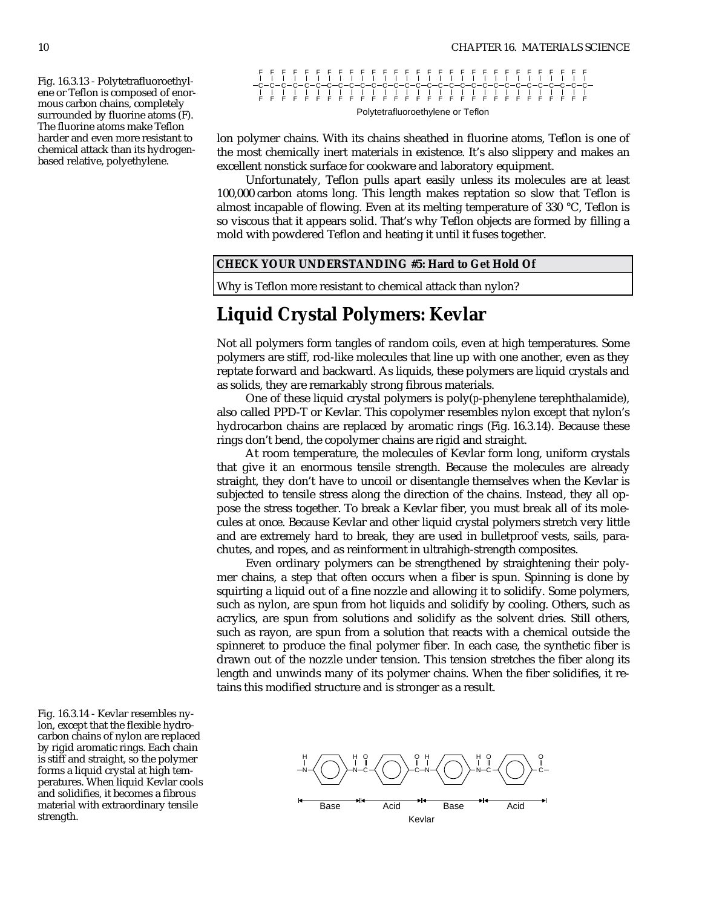Fig. 16.3.13 - Polytetrafluoroethylene or Teflon is composed of enormous carbon chains, completely surrounded by fluorine atoms (F). The fluorine atoms make Teflon harder and even more resistant to chemical attack than its hydrogenbased relative, polyethylene.



Polytetrafluoroethylene or Teflon

lon polymer chains. With its chains sheathed in fluorine atoms, Teflon is one of the most chemically inert materials in existence. It's also slippery and makes an excellent nonstick surface for cookware and laboratory equipment.

Unfortunately, Teflon pulls apart easily unless its molecules are at least 100,000 carbon atoms long. This length makes reptation so slow that Teflon is almost incapable of flowing. Even at its melting temperature of 330 °C, Teflon is so viscous that it appears solid. That's why Teflon objects are formed by filling a mold with powdered Teflon and heating it until it fuses together.

#### **CHECK YOUR UNDERSTANDING #5: Hard to Get Hold Of**

Why is Teflon more resistant to chemical attack than nylon?

## **Liquid Crystal Polymers: Kevlar**

Not all polymers form tangles of random coils, even at high temperatures. Some polymers are stiff, rod-like molecules that line up with one another, even as they reptate forward and backward. As liquids, these polymers are liquid crystals and as solids, they are remarkably strong fibrous materials.

One of these liquid crystal polymers is poly(*p*-phenylene terephthalamide), also called PPD-T or Kevlar. This copolymer resembles nylon except that nylon's hydrocarbon chains are replaced by aromatic rings (Fig. 16.3.14). Because these rings don't bend, the copolymer chains are rigid and straight.

At room temperature, the molecules of Kevlar form long, uniform crystals that give it an enormous tensile strength. Because the molecules are already straight, they don't have to uncoil or disentangle themselves when the Kevlar is subjected to tensile stress along the direction of the chains. Instead, they all oppose the stress together. To break a Kevlar fiber, you must break all of its molecules at once. Because Kevlar and other liquid crystal polymers stretch very little and are extremely hard to break, they are used in bulletproof vests, sails, parachutes, and ropes, and as reinforment in ultrahigh-strength composites.

Even ordinary polymers can be strengthened by straightening their polymer chains, a step that often occurs when a fiber is spun. Spinning is done by squirting a liquid out of a fine nozzle and allowing it to solidify. Some polymers, such as nylon, are spun from hot liquids and solidify by cooling. Others, such as acrylics, are spun from solutions and solidify as the solvent dries. Still others, such as rayon, are spun from a solution that reacts with a chemical outside the spinneret to produce the final polymer fiber. In each case, the synthetic fiber is drawn out of the nozzle under tension. This tension stretches the fiber along its length and unwinds many of its polymer chains. When the fiber solidifies, it retains this modified structure and is stronger as a result.



Fig. 16.3.14 - Kevlar resembles nylon, except that the flexible hydrocarbon chains of nylon are replaced by rigid aromatic rings. Each chain is stiff and straight, so the polymer forms a liquid crystal at high temperatures. When liquid Kevlar cools and solidifies, it becomes a fibrous material with extraordinary tensile strength.